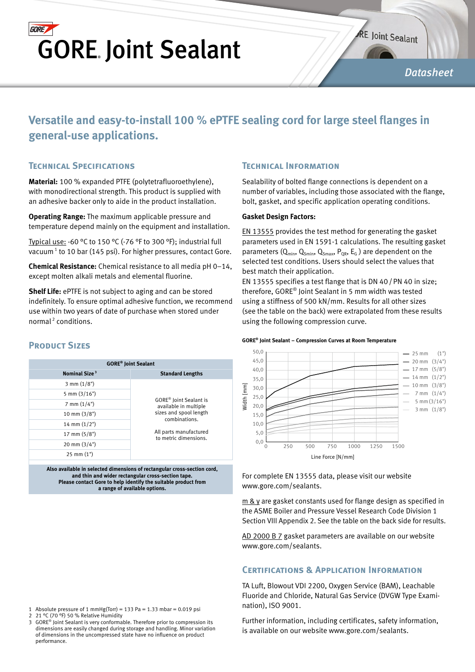## **GORE GORE Joint Sealant**

**RE Joint Sealant** 

*Datasheet*

## **Versatile and easy-to-install 100 % ePTFE sealing cord for large steel flanges in general-use applications.**

### **Technical Specifications**

**PRODUCT SIZES** 

**Material:** 100 % expanded PTFE (polytetrafluoroethylene), with monodirectional strength. This product is supplied with an adhesive backer only to aide in the product installation.

**Operating Range:** The maximum applicable pressure and temperature depend mainly on the equipment and installation.

Typical use: -60 °C to 150 °C (-76 °F to 300 °F); industrial full vacuum<sup>1</sup> to 10 bar (145 psi). For higher pressures, contact Gore.

**Chemical Resistance:** Chemical resistance to all media pH 0–14, except molten alkali metals and elemental fluorine.

**Shelf Life:** ePTFE is not subject to aging and can be stored indefinitely. To ensure optimal adhesive function, we recommend use within two years of date of purchase when stored under normal 2 conditions.

#### **GORE® Joint Sealant Nominal Size**<sup>3</sup> **Standard Lengths** 3 mm (1/8") GORE® Joint Sealant is available in multiple sizes and spool length combinations. All parts manufactured to metric dimensions. 5 mm (3/16") 7 mm (1/4") 10 mm (3/8") 14 mm (1/2") 17 mm (5/8") 20 mm (3/4") 25 mm (1")

**Also available in selected dimensions of rectangular cross-section cord, and thin and wider rectangular cross-section tape. Please contact Gore to help identify the suitable product from a range of available options.**

### **Technical Information**

Sealability of bolted flange connections is dependent on a number of variables, including those associated with the flange, bolt, gasket, and specific application operating conditions.

#### **Gasket Design Factors:**

EN 13555 provides the test method for generating the gasket parameters used in EN 1591-1 calculations. The resulting gasket parameters  $(Q_{min}, Q_{Smin}, Q_{Smax}, P_{QR}, E_G)$  are dependent on the selected test conditions. Users should select the values that best match their application.

EN 13555 specifies a test flange that is DN 40/PN 40 in size; therefore, GORE® Joint Sealant in 5 mm width was tested using a stiffness of 500 kN/mm. Results for all other sizes (see the table on the back) were extrapolated from these results using the following compression curve.



#### **GORE® Joint Sealant – Compression Curves at Room Temperature**

For complete EN 13555 data, please visit our website www.gore.com/sealants.

 $m \& y$  are gasket constants used for flange design as specified in the ASME Boiler and Pressure Vessel Research Code Division 1 Section VIII Appendix 2. See the table on the back side for results.

AD 2000 B 7 gasket parameters are available on our website www.gore.com/sealants.

#### **Certifications & Application Information**

TA Luft, Blowout VDI 2200, Oxygen Service (BAM), Leachable Fluoride and Chloride, Natural Gas Service (DVGW Type Examination), ISO 9001.

Further information, including certificates, safety information, is available on our website www.gore.com/sealants.

- 1 Absolute pressure of 1 mmHg(Torr) = 133 Pa = 1.33 mbar = 0.019 psi<br>2 21 °C (70 °F) 50 % Relative Humidity
- 2 21 °C (70 °F) 50 % Relative Humidity<br>3 GORE<sup>®</sup> Joint Sealant is very conforma GORE<sup>®</sup> Joint Sealant is very conformable. Therefore prior to compression its dimensions are easily changed during storage and handling. Minor variation of dimensions in the uncompressed state have no influence on product performance.